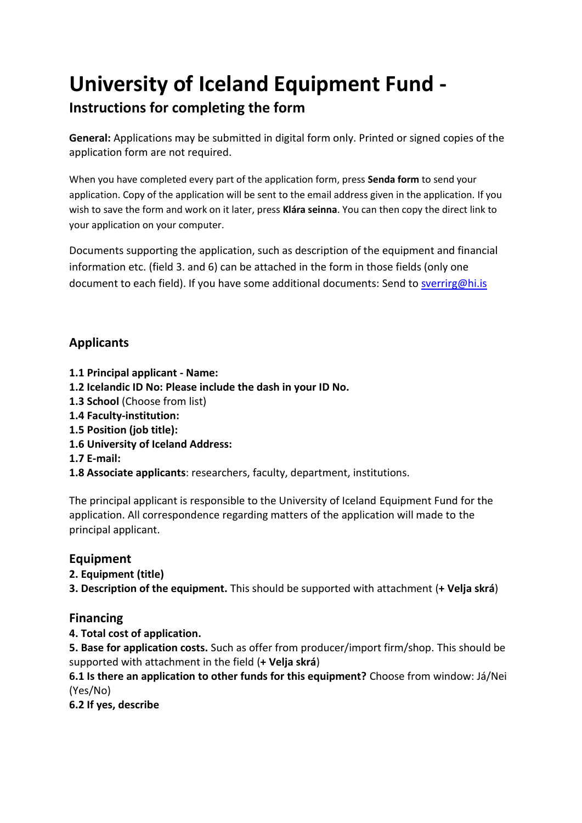# **University of Iceland Equipment Fund -**

## **Instructions for completing the form**

**General:** Applications may be submitted in digital form only. Printed or signed copies of the application form are not required.

When you have completed every part of the application form, press **Senda form** to send your application. Copy of the application will be sent to the email address given in the application. If you wish to save the form and work on it later, press **Klára seinna**. You can then copy the direct link to your application on your computer.

Documents supporting the application, such as description of the equipment and financial information etc. (field 3. and 6) can be attached in the form in those fields (only one document to each field). If you have some additional documents: Send to [sverrirg@hi.is](mailto:sverrirg@hi.is)

### **Applicants**

- **1.1 Principal applicant - Name:**
- **1.2 Icelandic ID No: Please include the dash in your ID No.**
- **1.3 School** (Choose from list)
- **1.4 Faculty-institution:**
- **1.5 Position (job title):**
- **1.6 University of Iceland Address:**
- **1.7 E-mail:**

**1.8 Associate applicants**: researchers, faculty, department, institutions.

The principal applicant is responsible to the University of Iceland Equipment Fund for the application. All correspondence regarding matters of the application will made to the principal applicant.

#### **Equipment**

**2. Equipment (title)**

**3. Description of the equipment.** This should be supported with attachment (**+ Velja skrá**)

#### **Financing**

**4. Total cost of application.**

**5. Base for application costs.** Such as offer from producer/import firm/shop. This should be supported with attachment in the field (**+ Velja skrá**)

**6.1 Is there an application to other funds for this equipment?** Choose from window: Já/Nei (Yes/No)

**6.2 If yes, describe**